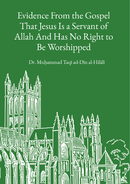# Evidence From the Gospel That Jesus Is a Servant of Allah And Has No Right to Be Worshipped

Dr. Muhammad Taqī ad-Dīn al-Hilālī

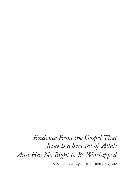## *Evidence From the Gospel That Jesus Is a Servant of Allah And Has No Right to Be Worshipped*

Dr. Muḥammad Taqī ad-Dīn al-Hilālī al-Maghribī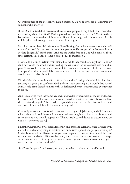O' worshippers of the Messiah we have a question. We hope it would be answered by someone who knows it.

If the One true God died because of the actions of people, if they killed Him, then what does that say about that God? Was He pleased by what they did to Him? Were it so then, blessed are those who achieve His pleasure. But if He was angry with the ones who did this to Him, then their strength then overcame His strength.

Has the creation been left without an Ever-Hearing God who answers those who call upon Him? And did the seven heavens disappear once He was placed underground since He had [originally] raised them? And are the worlds free of a God who controls them since certainly His hands became bloodied [due to crucifixion].

How could the angels refrain from aiding him while they could certainly hear His cries? And how could the wood endure holding the One true God whose back was bound in place? How could the iron get so close to Him that it would tear into His flesh and cause Him pain? And how could His enemies secure His hands for such a time that would enable them to strike his back.

Did the Messiah return himself to life or did another Lord give him his life? And how amazing is a grave that confines a God and even more amazing is the womb that carried Him. It held Him there for nine months in darkness where He was sustained by nutrients in blood.

And He emerged from the womb as a small and weak newborn with his mouth wide open for breast milk. And He eats and drinks and then does what comes naturally as a result of that; is this really a god? Allah is exalted beyond the slander of the Christians and each and every one of them will be asked about how they lied.

O worshippers of the cross for what reason do you magnify it [the cross] and vilify anyone who is skeptical? And do sound intellects seek anything but to break it or burn it and surely the one who initially applied it? [That is a truly cursed device, so discard it and do not kiss it when you see it.]

Since the One true God was placed forcefully on a cross and His hands were fastened with nails; the Lord of everything in creation was humiliated upon it and yet you worship it? Certainly, you are from His enemies if you have magnified it because it contained the Lord of the servants and raised Him. And certainly the cross was lost so if we have seen its shape we are reminded of it. So why haven't you prostrated yourselves to the graves since a grave once contained the Lord within it?

So O' worshipper of the Messiah, wake up, since this is his beginning and his end.

[*Ighāthah al-Lahfān fī Maṣāyid ash-Shayṭān* 2/1063-1064]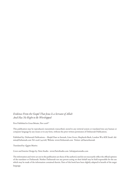#### *Evidence From the Gospel That Jesus Is a Servant of Allah And Has No Right to Be Worshipped*

First Published in Great Britain, Nov 2018CE

This publication may be reproduced, transmitted, transcribed, stored in any retrieval system or translated into any human or computer language by any means or in any form, without the prior written permission of DuSunnah Publications.

Published by: DuSunnah Publications – Masjid Daar us Sunnah, Lime Grove, Shepherds Bush, London W12 8DE Email: Admin@DuSunnah.com Tel: 0208 749 6187 Website: www.DuSunnah.com Twitter: @DaarusSunnah

Translated by: Qasim Mutiva

Cover and Interior Design by: Pario Studio - www.ParioStudio.com Info@pariostudio.com

The information and views set out in this publication are those of the author(s) and do not necessarily reflect the official opinion of the translator or DuSunnah. Neither DuSunnah nor any person acting on their behalf may be held responsible for the use which may be made of the information contained therein. Parts of this book have been slightly adapted in benefit of the target language.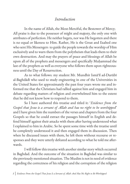#### *Introduction*

In the name of Allah, the Most-Merciful, the Bestower of Mercy; All praise is due to the possessor of might and majesty, the only one with attributes of perfection. He neither begets, nor was He begotten and there is no equal or likeness to Him. Rather, He is the Great and Exalted one who sent His Messengers to guide the people towards the worship of Him exclusively and to warn them from the polytheism that leads them to their own destruction. And may the prayers of peace and blessings of Allah be upon all of the prophets and messengers and specifically Muḥammad the last of the prophets as well as everyone who follows them upon righteousness until the Day of Resurrection.

As to what follows: my student Mr. Mundhir Ismāʿīl ad-Durūbī al-Baghdādī who used to study engineering in one of the Universities in the United States for approximately the past four years wrote me and informed me that the Christians had rallied against him and engaged him in debate regarding matters of religion and overwhelmed him to the extent that he did not know how to respond to them.

So I have authored this treatise and titled it: '*Evidence from the Gospel that Jesus is a servant of Allah and has no right to be worshipped*' and I have given him the numbers of the verses and chapters from the four Gospels so that he could extract the passages himself in English and defend himself against their attacks with them after having understood what I explained to him in Arabic. So he spent some time with the treatise until he completely understood it and then engaged them in discussion. Then when he discussed issues with them, he left them without recourse or responses and they were utterly defeated according to what he told me afterwards.

I will follow this treatise with another similar story which occurred in Baghdad. And the outcome of the situation in Baghdad was similar to the previously mentioned situation. The Muslim is not in need of evidence regarding the correctness of his religion and the corruption of the religion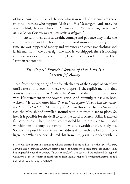of his enemies. But instead the one who is in need of evidence are those truthful brothers who support Allah and His Messenger. And surely he was truthful, the one who said: "*Islam in this time is a religion without men whereas Christianity is men without religion*."

So with their efforts, wealth, courage and patience they make the truth falsehood and falsehood the truth. And most of humanity in this time are worshippers of money and currency and expensive clothing and lavish mansions.<sup>1</sup> the Sovereign one who is worshipped, there is nothing that deserves worship except for Him; I have relied upon Him and to Him I turn in repentance.

#### *The Gospel's Explicit Mention of How Jesus Is a Servant [of Allah]*

Read from the beginning of the fourth chapter of the Gospel of Matthew until verse six and seven. In these two chapters is the explicit mention that Jesus is a servant and that Allah is the Master and the Lord in accordance with His statement in the seventh verse. And certainly, it has also been written: "Jesus said unto him, *'It is written again: 'Thou shalt not tempt the Lord thy God.'"."* [Matthew 4:7]. And in this same chapter Satan carried the Messiah and travelled around with him from place to place. So how is it possible for the devil to carry the Lord of Mercy? Allah is exalted far beyond that. Then the devil commanded him to prostrate to him and worship him and sought to tempt him with the wealth of the worldly life. So how is it possible for the devil to address Allah with the like of this belligerence? When the devil desired this from him, Jesus responded with his

1 "The worship of wealth is similar to what is described in the ḥadīth: 'Let the slave of *Dīnār*, *Dirham*, and *Qaṭīfa* and *Khamīṣah* perish since he is pleased when these things are given to him but ungrateful when they are not...'[*Ṣaḥīḥ al-Bukhārī*] The scholars have explained this type of worship to be the lesser form of polytheism and not the major type of polytheism that expels anddd individual from the religion."(Rabīʿ).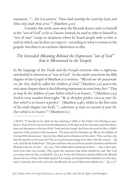statement: "*….For it is written: 'Thou shalt worship the Lord thy God, and Him only shalt thou serve*.'" [Matthew 4:10]

Consider this tenth verse since the Messiah doesn't refer to himself as the "son of God" as far as I know. Instead, he used to refer to himself as "son of man" except in situations where he heard people refer to him as such in which case he does not reject it –according to what is written in the gospels- but there is no exclusive distinction to this.

#### *The Intended Meaning Behind the Expression "son of God" that is Mentioned in the Gospels*

In the language of the Torah and the Gospel everyone who is righteous and dutiful is referred to as "son of God". In the ninth verse from the fifth chapter of the Gospel of Matthew it is written: *"Blessed are the peacemakers: for they shall be called the children of God.*" [Matthew 5:9] and in the very same chapter there is the following statement in verse forty-five: "*That ye may be the children of your Father which is in heaven…*" [Matthew 5:45] And in verse number forty-eight: "*Be ye therefore perfect, even as your Father which is in heaven is perfect.*" [Matthew 5:48], whilst in the first verse of the sixth chapter [we find]: "*…otherwise ye have no reward of your Father which is in heaven*."2 [Matthew 6:1].

<sup>2 [</sup>Rabīʿ]: "It should not be ruled out that referring to Allah as 'the Father' and referring to mankind as 'Sons of God' may be from the fabrications of the Jews and the Christians and their distortions and alterations to the text of the Torah and the Gospel. And from the proof of this is Allah's rejection of this practice in His statement: 'The Jews and the Christians say: We are the children of God and His beloved ones.' [Q 5:18] then Allah said in refutation of this claim: 'Then say then why does He punish you for your sins? You are merely human beings from those who He created…' [Q 5:18] And He the Exalted says: 'The Jews said Ezra is the son of God, and the Christians said that the Messiah is the son of God…' [Q 9:30] Then Allah said in refutation of them: '…that is their statement from their own mouths. They repeat the statement that earlier disbelievers said. May God curse them; how are they so deluded?' [Q 9:30] In fact the Christians said that Allah is the Messiah [Jesus] the son of Mary. But Allah rejected this concept and declared them disbelievers in His statement: 'Certainly, those who say God is the Messiah, the son of Mary have disbelieved...'  $[Q_{5:17}]$ "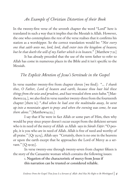#### *An Example of Christian Distortion of their Book*

In the twenty-first verse of the seventh chapter the word "Lord" here is translated in such a way that it implies that the Messiah is Allah. However, the one who contemplates the rest of the verse realises that it confirms his station as a worshipper. So the correct translation would be: "*Not every one that saith unto me, lord, lord, shall enter into the kingdom of heaven; but he that doeth the will of my Father which is in heaven*." [Matthew 7:21]

It has already preceded that the use of the term father to refer to Allah has come in numerous places in the Bible and it isn't specific to the Messiah.

#### *The Explicit Mention of Jesus's Servitude in the Gospel*

In verse number twenty-five from chapter eleven [we find]: "*… I thank thee, O Father, Lord of heaven and earth, because thou hast hid these things from the wise and prudent, and hast revealed them unto babes*."[Matthew11:25.], we also find in verse number twenty-three from the fourteenth chapter [there is]: "*And when he had sent the multitudes away, he went up into a mountain apart to pray: and when the evening was come, he was there alone*." [Matthew14:23.]

I say that if he were in fact Allah or some part of Him, then why would he pray since prayer doesn't occur except from the deficient servant who is in need of the mercy of Allah as Allah says in *Sūrah Fāṭir*: "O people, it is you who are in need of Allah. Allah is free of need and worthy of all praise." [Qr 35:15], Allah says "Certainly, there is no one in the heavens or upon the earth except that he approaches the Lord of Mercy as a servant." [Q 19:93].

In verse twenty-one through twenty-seven from chapter fifteen is the story of the Canaanite woman which contains the following issues:

> 1. Negation of the characteristic of mercy from Jesus if this narration can be trusted or considered reliable.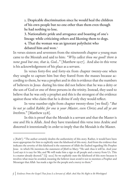2. Despicable discrimination since he would heal the children of his own people but no one other than them even though he had nothing to lose.

3. Nationalistic pride and arrogance and boasting of one's lineage while criticizing others and likening them to dogs. 4. That the woman was an ignorant polytheist who

debated him and won. 3

In verses sixteen and seventeen from the nineteenth chapter a young man came to the Messiah and said to him: "*Why callest thou me good? there is none good but one, that is, God…*" [Matthew 19:17]. And also in this verse is his acknowledgement of his place as a servant.

In verses forty-five and forty-six from chapter twenty-one when they sought to capture him but they feared from the masses because according to them, he was a prophet and in this is evidence that the numbers of believers in Jesus during his time did not believe that he was a deity or the son of God or one of three persons in the trinity. Instead, they used to believe that he was only a prophet and this is the strongest of the evidence against those who claim that he is divine if only they would reflect.

In verse number eight from chapter twenty-three [we find]: "*But be not ye called Rabbi: for one is your Master, even Christ; and all ye are brethren*." [Matthew 23:8].

In this is proof that the Messiah is a servant and that the Master is one and He is Allah. And they have translated this verse into Arabic and distorted it intentionally in order to imply that the Messiah is the Master.

<sup>3 [</sup>Rabīʿ]: "The author certainly doubts the authenticity of this story. Rather, it would have been more appropriate for him to explicitly state the falsehood of this story. And from the evidence that indicates the severity of this falsehood is the statement of Allah the Exalted regarding His Prophet Jesus in which He mentions the statement of Jibrīl to Mary: "He said: thus it will be. And your Lord says it is easy for Me; and We will make him a sign to all people and a mercy from Us. This is a matter already decreed." [Q 19:21] So we explicitly state the falsehood of this story because it involves what must be avoided; meaning the believer must avoid it not to mention a Prophet and Messenger that Allah has made a sign for the people and a mercy to them."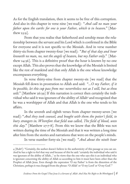As for the English translation, then it seems to be free of this corruption. And also in this chapter in verse nine [we read]: "*And call no man your father upon the earth: for one is your Father, which is in heaven.*" [Matthew 23:9].

From that you realise that fatherhood and sonship mean the relationship between the servant and his Lord which is confirmed in the Bible for everyone and it is not specific to the Messiah. And in verse number thirty-six from chapter twenty-four [we read]: "*But of that day and hour knoweth no man, no, not the angels of heaven, but my Father only.*" [Matthew 24:36]. This is a definitive proof that the hour is known by no one except Allah. This also proves that the knowledge of the Messiah is limited like the rest of mankind and that only Allah is the one whose knowledge encompasses everything.

In verse thirty-nine from chapter twenty-six [we read] that the Messiah fell down in prostration to Allah and said: "*…O my Father, if it be possible, let this cup pass from me: nevertheless not as I will, but as thou*  wilt." [Matthew 26:39] If this narration is correct then certainly the individual who said it was ignorant of the ability of Allah4 and recognized that he was a worshipper of Allah and that Allah is the one who tends to his affairs.

In the seventh and eighth verses from chapter twenty-seven [we read]: "*And they took counsel, and bought with them the potter's field, to bury strangers in. Wherefore that field was called, The field of blood, unto this day.*" [Matthew 27:7-8]. From this we know that the Bible was not written during the time of the Messiah and that it was written a long time after him from the stories and narrations that were on the people's minds.

In verse number forty-six [we read]: "*And about the ninth hour* 

<sup>4 [</sup>Rabīʿ]: "Certainly, the author doesn't believe in the authenticity of this passage as you can see. And he has a right to feel that way and because of this he said: 'certainly the individual who said it was ignorant of the ability of Allah…' so he views that the one who says this is an individual who is ignorant concerning the ability of Allah so according to him it must have been other than the Prophet of Allah Jesus. Even though the expression 'O my Father' is from the distortion of the Christians, perhaps it was changed from the phrase: 'O Allah' or 'O my Lord' or 'O my God'."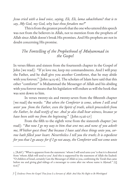*Jesus cried with a loud voice, saying, Eli, Eli, lama sabachthani? that is to say, My God, my God, why hast thou forsaken me?*"

This is from the greatest proofs that the one who uttered this speech was not from the believers in Allah, not to mention from the prophets of Allah since Allah doesn't break His promises. And His prophets are not in doubt concerning His promise.

#### *The Foretelling of the Prophethood of Muḥammad in the Gospel*

In verses fifteen and sixteen from the fourteenth chapter in the Gospel of John [we read]: "If ye love me, keep my commandments. And I will pray the Father, and he shall give you another Comforter, that he may abide with you forever;" [John 14:15-16]. The scholars of Islam have said that this other "comforter" is Muḥammad the Messenger of Allah and his abiding with you forever means that his legislation will endure as will the book that was sent down to him.

In verses twenty-six and twenty-seven from the fifteenth chapter [we read] the words: "*But when the Comforter is come, whom I will send unto<sup>5</sup> you from the Father, even the Spirit of truth, which proceedeth from the Father, he shall testify of me: And ye also shall bear witness, because ye have been with me from the beginning*." [John 15:26-27]

From the fifth to the eighth verse from the sixteenth chapter [we read]: "*But now I go my way to him that sent me; and none of you asketh me, Whither goest thou? But because I have said these things unto you, sorrow hath filled your heart. Nevertheless I tell you the truth; It is expedient for you that I go away: for if I go not away, the Comforter will not come unto* 

<sup>5 [</sup>Rabīʿ]: "What is apparent from the statement: 'whom I will send unto you' is that it is distorted from 'whom Allah will send to you' And this is supported by the statement of Allah the Exalted: "O children of Israel, certainly I am the Messenger of Allah to you, confirming the Torah that came before me and giving glad tidings of a messenger to come after me whose name is Aḥmad." [Q  $61:6$ <sup>"</sup>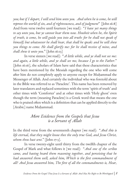*you; but if I depart, I will send him unto you. And when he is come, he will reprove the world of sin, and of righteousness, and of judgment*" [John 16:8] And from verse twelve until fourteen [we read]: "*I have yet many things to say unto you, but ye cannot bear them now. Howbeit when he, the Spirit of truth, is come, he will guide you into all truth: for he shall not speak of himself; but whatsoever he shall hear, that shall he speak: and he will shew you things to come. He shall glorify me: for he shall receive of mine, and shall shew it unto you*." [John 16:13]

In verse sixteen [we read]: "*A little while, and ye shall not see me: and again, a little while, and ye shall see me, because I go to the Father*." [John 16:16], the scholars of Islam have said that these characteristics that have been mentioned by the Messiah regarding the one who will come after him do not completely apply to anyone except for Muḥammad the Messenger of Allah. And certainly the individual who was foretold about in the Bible was referred to as 'Paraclete'. This name has been removed by later translators and replaced sometimes with the term 'spirit of truth' and other times with 'Comforter' and at other times with 'Holy ghost' even though the term (meaning Paraclete) is a Greek word that means the one who is praised often which is a definition that can be applied directly to the [Arabic] name Muhammad.

#### *More Evidence from the Gospels that Jesus is a Servant of Allah*

In the third verse from the seventeenth chapter [we read]: "*And this is life eternal, that they might know thee the only true God, and Jesus Christ, whom thou hast sent*." [John 17:3].

In verse twenty-eight until thirty from the twelfth chapter of the Gospel of Mark and what follows it [we read]: "*And one of the scribes came, and having heard them reasoning together, and perceiving that he had answered them well, asked him, Which is the first commandment of all? And Jesus answered him, The first of all the commandments is, Hear,*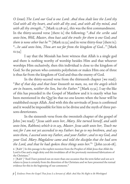*O Israel; The Lord our God is one Lord: And thou shalt love the Lord thy God with all thy heart, and with all thy soul, and with all thy mind, and with all thy strength...*" [Mark 12:28-30], this was the first commandment. In the thirty-second verse [there is] the following: "*And the scribe said unto him, Well, Master, thou hast said the truth: for there is one God; and there is none other but he* "6 [Mark 12:32] and in verse thirty-four [there is]: "*…he said unto him, Thou art not far from the kingdom of God…*" [Mark 12:34]

I say that the Messiah has bore witness that Allah is a single god and there is nothing worthy of worship besides Him and that whoever worships Him exclusively, then this individual is close to the kingdom of God. So the person who commits polytheism or makes Him one of three is thus far from the kingdom of God and thus the enemy of God.

In the thirty-second verse from the thirteenth chapter [we read]: "*But of that day and that hour knoweth no man, no, not the angels which are in heaven, neither the Son, but the Father.*" [Mark 13:32]. I say the like of this has preceded in the Gospel of Matthew and it is exactly what has been mentioned in the Qurʾān that no one knows when the hour will be established except Allah. And with this the servitude of Jesus is confirmed and it would be impossible for him to be divine and the myth of three persons deteriorates.

In the sixteenth verse from the twentieth chapter of the gospel of John [we read]: "*Jesus saith unto her, Mary. She turned herself, and saith unto him, Rabboni; which is to say, Master. Jesus saith unto her, Touch me not; for I am not yet ascended to my Father: but go to my brethren, and say unto them, I ascend unto my Father, and your Father ; and to my God, and your God. Mary Magdalene came and told the disciples that she had seen the Lord, and that he had spoken these things unto her.*"<sup>7</sup> [John 20:16-18].

6 [Rabīʿ ] In this passage is the explicit mention from the Prophet of Allah Jesus that Allah the Lord is One and a single deity and this invalidates all of the previously mentioned fabrications of the Christians."

7 [Rabīʿ ] "And I have pointed out on more than one occasion that the term father and son as it relates to Jesus is certainly from the distortion of the Christians and we have presented the textual evidence for this in the beginning of our comments."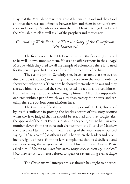I say that the Messiah bore witness that Allah was his God and their God and that there was no difference between him and them in terms of servitude and worship. So whoever claims that the Messiah is a god has belied the Messiah himself as well as all of the prophets and messengers.

#### *Concluding With Evidence That the Story of the Crucifixion Was Fabricated*

The first proof: The Bible bears witness to the fact that Jesus used to be well known amongst them. He used to offer sermons in the al-Aqṣá Mosque which they used to call the Temple of Solomon so there is no need for the Jews to pay thirty pieces of silver for someone to find him.

The second proof: Certainly, they have narrated that the twelfth disciple Judas (Iscariot) took thirty silver pieces from the Jews in order to show them where he is. Then once he showed them where he was and they arrested him, he returned the silver, regretted his action and freed himself from what they had done before hanging himself. All of this supposedly occurred within a period which was less than twenty-four hours; and certainly there are obvious contradictions here.

The third proof [and it is the most important]: In fact, this proof by itself is sufficient in proving the baseless nature of this story because when the Jews judged that he should be executed and they sought after the approval of the ruler Pontius Pilate and they sent Jesus to him; in verse number eleven from the thirteenth chapter from the Gospel of Matthew the ruler asked Jesus if he was from the kings of the Jews. Jesus responded saying: "*Thou sayest.*" [Matthew 27:11] Then when the leaders and prominent religious figures from the Jews complained that he disbelieved and said concerning the religion what justified his execution Pontius Pilate asked him: "*Hearest thou not how many things they witness against thee?*" [Matthew 27:13]. But Jesus refused to speak or say anything even a single word.

The Christians will interpret this as though he sought to be cruci-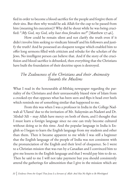fied in order to become a blood sacrifice for the people and forgive them of their sins. But then why would he ask Allah for the cup to be passed from him (meaning his execution)? Why did he shout while he was being crucified: "*My God, my God, why hast thou forsaken me?*" [Matthew 27:46].

How could he remain silent and not clarify the truth even if it didn't involve him seeking to vindicate himself and his followers and justify the truth? And he possessed an eloquent tongue which enabled him to offer long sermons filled with criticism and rebuke for the scholars of the Jews. No intelligent person can believe that. And if the story of the crucifixion and blood sacrifice is debunked, then everything that the Christians have built the foundation of their doctrine upon is destroyed.

#### *The Zealousness of the Christians and their Animosity Towards the Muslims*

What I read in the honourable al-Mīthāq newspaper regarding the partiality of the Christians and their unreasonably biased view of Islam from a crooked eye that opposes what has been seen and flips it head over heels which reminds me of something similar that happened to me.

From this was when I was a professor in India in the College Nadwah al-ʿUlamāʾ due to the invitation of Mr. Sulaymān an-Nadawī and Dr. ʿAbdul-ʿAlī – may Allah have mercy on both of them, and I thought that I must learn a foreign language since no one can truly become cultured without doing so in this time. And the popular language in India is English so I began to learn the English language from my students and other than them. Then it became apparent to me while I was still a beginner that the English language of the people of India was not consistent with the pronunciation of the English and their level of eloquence. So I went to a Christian mission that was run by a Canadian and I convinced him to give me lessons in the English language and that I would pay him to do so. Then he said to me I will not take payment but you should consistently attend the gatherings for admonition that I give in the mission which are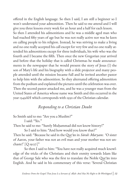offered in the English language. So then I said, I am still a beginner so I won't understand your admonition. Then he said to me attend and I will give you three lessons every week for an hour and a half for each lesson.

So then I attended his admonitions and he was a middle aged man who had reached fifty years of age but he was not really active nor was he keen on calling people to his religion. Instead, he was striving to make a living and no one really accepted his call except for very few and no one really attended his admonitions except for three individuals, his wife who was the fourth and I became the fifth. Then once the new Gregorian year arrived and before that the holiday that is called Christmas he made announcements in the newspaper that he would present the story of Jesus  $(\mathbb{I})$  the son of Mary's life and his biography with a slide projector and many people attended until the mission became full and he invited another pastor to help him with the admonition. So they alternated offering admonition from the podium and explained the pictures until the celebration was over. Then the second pastor attacked me, and he was a younger man from the United States of America whose name was Smith and this occurred in the year 1349AH which corresponds with 1930 of the Christian calendar.

#### *Responding to a Christian Doubt*

So Smith said to me: "Are you a Muslim?"

I said: "Yes."

Then he said to me: "Surely Muḥammad did not know history!"

So I said to him: "And how would you know that?" Then he said: "Because he said in the Qurʾān in *Sūrah Maryam*: 'O sister of Aaron, your father was not an evil man and your mother was not unchaste!' [Q 19:27]"

So then I said to him: "You have not really acquired much knowledge of the tricks of the Christians and their enmity towards Islam like that of George Sale who was the first to translate the Noble Qurʾān into English. And he said in his commentary of this verse: 'Several Christian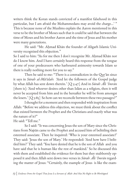writers think the Koran stands convicted of a manifest falsehood in this particular, but I am afraid the Mohammedans may avoid the charge…' " This is because none of the Muslims explain the Aaron mentioned in this verse to be the brother of Moses such that it could be said that between the time of Moses and his brother Aaron and the time of Jesus and his mother were many generations.

He said: "Mr. Aḥmad Khān the founder of Aligarh Islamic University recognized this objection."

So I said to him: "As for me then I don't recognize Mr. Aḥmad Khān nor do I know him. And I have certainly heard this response from the tongue of one of your predecessors who harboured animosity towards Islam so there is really nothing more for you to say."

Then he said to me: "There is a contradiction in the Qurʾān since it says in *Sūrah al-Māʾidah*: 'And let the followers of the Gospel judge by what Allah has sent down therein.' [Q 5:47] And in *Sūrah Āli ʿImrān* [there is]: 'And whoever desires other than Islām as a religion, then it will never be accepted from him and in the hereafter he will be from amongst the losers.' [Q 3:85] So how can we reconcile between these two passages?"

I thought for a moment and then responded with inspiration from Allah: "Before we address this objection, we must think about the conflict that existed between the Prophet and the Christians and exactly what was the nature of it?"

He said: "Tell me."

So I said: "It was concerning Jesus the son of Mary since the Christians from Najrān came to the Prophet and accused him of belittling their esteemed associate. Then he inquired: 'Who is your esteemed associate?' They said: 'Jesus the son of Mary.' He responded: 'And how have I belittled him?' They said: 'You have denied that he is the son of Allah and you have said that he is human like the rest of mankind.' So he discussed this with them and established the evidence for them but they stubbornly opposed it and then Allah sent down two verses in *Sūrah Āli ʿImrān* regarding the matter of Jesus: "Certainly, the example of Jesus is like the exam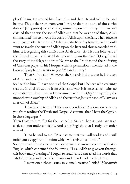ple of Adam. He created him from dust and then He said to him be, and he was. This is the truth from your Lord, so do not be one of those who doubt." [Q 3:59-60]. So when they insisted upon remaining obstinate and claimed that he was the son of Allah and that he was one of three, Allah commanded him to invoke the curse of Allah upon the liars. Then once he set out to invoke the curse of Allah upon the liars they feared that he would want to invoke the curse of Allah upon the liars and thus reconciled with him. It is regarding this conflict that Allah said: "And let the followers of the Gospel judge by what Allah has sent down therein."  $[Q_5:47]$  And the story of the delegation from Najrān to the Prophet and their offering of Christian prayer in his Mosque with his permission is mentioned in the books of prophetic narrations (*ḥadīth*) and history."

Then Smith said: "However, the Gospels indicate that he is the son of Allah and one of three."

So I said to him: "I have not read the Gospel but I believe with certainty that the Gospel is true and from Allah and what is from Allah contains no contradiction. And it must be consistent with the Qurʾān regarding the monotheistic worship of Allah and the fact that Jesus the son of Mary was a servant of Allah."

Then he said to me: "This is your condition. Zealousness prevents you from reading the Torah and Gospel. As for me, then I have the Qurʾān in three languages."

Then I said to him: "As for the Gospel in Arabic, then its language is archaic and not understandable. And as for English, then I study it in order to read it."

Then he said to me: "Promise me that you will read it and I will order you a copy from London which will arrive in a month."

So I promised him and once the copy arrived he wrote me a note with it in English which contained the following: "I ask Allah to give you through this book many blessings." I began to read it and I extracted the words that I didn't understand from dictionaries and then I read it a third time.

I mentioned those issues in a small treatise I titled '*Ḥawāmish*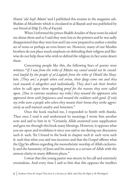*Shattá ʿalá Injīl Mattá'* and I published this treatise in the magazine ash-Shabān al-Muslimīn which is circulated in al-Baṣrah and was published by our friend al-Ḥājj Ṭa Ha al-Fayyād.

When I informed the prince Shakīb Arsalān of these notes he asked me about them and so I said they were lost at the printers and he was sadly disappointed that they were lost and I am now prepared to author a similar set of notes or perhaps an even better set. However, many of our Muslim brothers do not place much emphasis on defending their religion and likewise do not help those who wish to defend the religion; in fact some desert them.

Concerning people like this, the following lines of poetry were written: "*If I was from the tribe of Māzin my camel would not be considered lawful by the people of al-Laqīṭah from the tribe of Dhuhl ibn Shaybān. [They are] a people when evil arises, their fangs come out and they rush towards it altogether and individually. They don't ask their brother when he calls upon them regarding proof for the reasons they were called upon. [Due to extreme weakness my tribe] they reward the oppressors who oppressed them with forgiveness and reward the evildoers with good. If only my tribe were a people who when they mount their horses they strike aggressively as well trained cavalry and horsemen*."

Once the book reached me, I responded to Smith with thanks. Then once I read it and understood its meanings I wrote him another note and said to him in it: "Certainly, Allah answered your supplication and gave me through this book many blessings. However, it opposes what you are upon and invalidates it since you said to me during our discussion such & such. Yet I found in the book in chapter such & such verse such & such that what you said was incorrect and that the Gospel affirms what the Qurʾān affirms regarding the monotheistic worship of Allah exclusively and the humanity of Jesus and his station as a servant of Allah with the utmost clarity in many different places."

I swear that this young pastor was sincere in his call and extremely overzealous. And every time I said to him that this opposes the intellect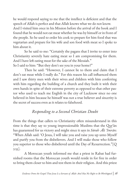he would respond saying to me that the intellect is deficient and that the speech of Allah is perfect and that Allah knows what we do not know. And I visited him once in his Mission before the arrival of the book and I found that he would not eat meat whether he was by himself or in front of the people. So he used to order his cook to prepare for him food that was vegetarian and prepare for his wife and son food with meat so I spoke to him about it.

So he said to me: "Certainly the pagans that I invite to enter into Christianity severely hate eating meat so I am compromising for them. And I have left eating meat for the sake of the Messiah." So I said to him: "But they don't see you in your home?"

Then he said: "However, I cannot lie to them and claim that I don't eat meat while I really do." For this reason his call influenced them and I saw thirty men with their wives and children with him conferring with him regarding the building of a church and they built it with their own hands in spite of their extreme poverty as opposed to that other pastor who used to teach me English in the city of Lucknow since no one believed in him because he himself was not a true believer and sincerity is the secret of success even as it relates to falsehood.

### *Responding to a Second Christian Doubt*

From the things that callers to Christianity often misunderstand in this time is that they say to young impressionable Muslims that the Qurʾān has guaranteed for us victory and might since it says in *Sūrah Āli ʿImrān*: "When Allah said: 'O Jesus, I will take you and raise you up unto Myself and purify you from the disbelievers. And I will make those who follow you superior to those who disbelieved until the Day of Resurrection."[Q 3:55].

A Moroccan youth informed me that a priest in Rabat had furnished rooms that the Moroccan youth would reside in for free in order to bring them closer to him and test them in their religion. And this priest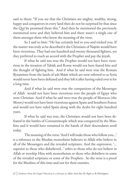said to them: "If you see that the Christians are mighty, wealthy, strong, happy and conquerors in every land then do not be surprised by that since the Qurʾān promised them this." And then he mentioned the previously mentioned verse and they believed him and there wasn't a single one of them amongst them who knew the meaning of the verse.

So I said to him: "He has certainly lied to you and tricked you. If the matter was truly as he described it the Christians of Najrān would have been victorious. They had one hundred and twenty thousand fighters, yet they preferred to reach an accord with the Prophet and pay the jizyah.

If what he said was true the Prophet would not have been victorious in the invasion of Tabūk and Rome would not have feared him and the thought of fighting him. And if what he said were true the Roman Byzantines from the lands of ash-Shām which are now referred to as Syria would never have been defeated and they left it after having ruled over it for a long time.

And if what he said were true the companions of the Messenger of Allah would not have been victorious over the people of Egypt who were Christian. And if what he said were true the people of Morocco (the Moors) would not have been victorious against Spain and Southern France and would not have ruled Spain along with the Arabs for eight hundred years.

If what he said was true, the Christians would not have been defeated in the battles of Constantinople which was conquered by the Muslims and it would have remained in the hands of their descendants until today.

The meaning of the verse: 'And I will make those who follow you…' is a reference to the Muslim monotheist believers in Allah who believe in all of the Messengers and the revealed scriptures. And the expression: '… superior to those who disbelieved…' refers to those who do not believe in Allah or worship Him with monotheism or those who disbelieve in some of the revealed scriptures or some of the Prophets . So the verse is a proof for the Muslims of this time and not for their enemies.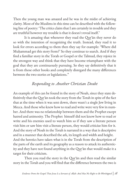Then the young man was amazed and he was in the midst of achieving clarity. Most of the Muslims in this time can be described with the following line of poetry: 'The critics claim that I am certainly in trouble and they are truthful however my trouble is that it doesn't reveal itself.'

It is amazing that whenever they read the Qurʾān they never do so with the intention of recognizing the truth. Instead, they read it to look for errors according to them then they say for example: 'Where did Muḥammad get this story from?' So they continue to search. And if they find a familiar story in the Torah or Gospel or the Talmud, they rejoice in the strongest way and think that they have become triumphant with the goal that they are continuously pursuing. So they say definitively that it is from those other books and completely disregard the many differences between the two stories or legislations."

#### *Responding to Another Christian Doubt*

An example of this can be found in the story of Noah, since they state definitively that the Qurʾān took the story from the Torah in spite of the fact that at the time when it was sent down, there wasn't a single Jew living in Mecca. And those who knew how to read and write were very few in number. And there was no relationship between them and the Prophet except hatred and animosity. The Prophet himself did not know how to read or write and his enemies used to watch him so if they saw a literate person visit him or saw him visit a literate person, they would criticize him for it. And the story of Noah in the Torah is narrated in a way that is descriptive and in a manner that described the ark, its length and width and height. And the heretics have taken what is in the Torah from the description of the parts of the earth and its geography as a reason to attack its authenticity and they have not found anything in the Qurʾān that would make it a target for their criticism.

Then you read the story in the Qurʾān and then read the similar story in the Torah and you will find that the difference between the two is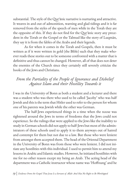substantial. The style of the Qurʾānic narrative is nurturing and attractive. It weaves in and out of admonition, warning and glad tidings and it is far removed from the styles of the speech of men while in the Torah they are the opposite of this. If they do not find for the Qurʾānic story any precedent in the Torah or the Gospel or the Talmud like the story of Luqmān, they say it is from the fables of the Arabs and their legends.

As for when it comes in the Torah and Gospels, then it must be written as if it were written in gold (the Bible) such that they make whoever reads these stories out to be someone confronted with a matter that is definitive and thus cannot be changed. However, all of that does not deter the enemies of the Church since they certainly still severely criticize the books of the Jews and Christians.

#### *From the Partiality of the People of Ignorance and Disbelief Against Islam and their Hostility Towards it*

I was in the University of Bonn as both a student and a lecturer and there was a student who was there who used to be called 'Jacoby' who was half Jewish and this is the term that Hitler used to refer to the person for whom one of his parents was Jewish while the other was German.

The half-Jews experienced things in a time when the noose was tightened around the Jews in terms of freedoms that the Jews could not experience. So the rulings that were applied to the Jews like the inability to study in German schools did not apply to half-Jews but most of the administrators of these schools used to apply it to them anyways out of hatred and contempt for them but not due to a law. But those who were lenient from amongst them accepted them. The head of the Oriental Department in the University of Bonn was from those who were lenient. I did not initiate any hostilities with this individual. I used to permit him to attend my lessons in Arabic and Islamic studies. However, he initiated hostilities with me for no other reason except my being an Arab. The acting head of the department was a Catholic instructor whose name was 'Hoffnung' and he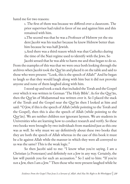hated me for two reasons:

1. The first of them was because we differed over a classroom. The prior supervisor had ruled in favor of me and against him and this remained with him.

2.The second was that he was a Professor of Hebrew yet the stu dent Jacobi was his teacher because he knew Hebrew better than him because he was half-Jewish.

3.And there was a third reason which was that Catholics during the time of the Nazi regime used to identify with the Jews. So

Jacobi sensed that he was able to harm me and thus began to do so. From the examples of this was that we were once both looking through the archives when Jacobi took the Qurʾān and placed it on the table and said to those who were present: "Look, this is the speech of Allah!" And he began to laugh so that they would laugh along with him but it did not provoke anyone and none of them laughed along with him.

I stood up and took a stack that included the Torah and the Gospel over which it was written in German 'The Holy Bible'. As for the Qurʾān, then the Qurʾān of Muḥammad was written over it. So I placed the stack of the Torah and the Gospel near the Qurʾān then I looked at him and said: "O Jew, if this is the speech of Allah (while pointing to the Torah and the Gospel), then this is also the speech of Allah (while pointing to the Qurʾān). We are neither children nor ignorant laymen. We are students in Universities who are learning how to conduct research and verify. So these two books were brought by two individuals from mankind just as this one was as well. So why must we say definitively about these two books that they are both the speech of Allah whereas in the case of this book it must be a lie against Allah while the manner in which they were all conveyed to us was the same? This is the weak logic."

So then Jacobi said to me: "I know what you're saying. I am a Christian (a Protestant) and definitely not a Jew in any way. Certainly, the law will punish you for such an accusation." So I said to him: "If you're not a Jew, then I am a Jew." Then those who were present laughed while he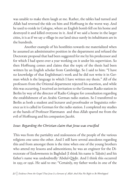was unable to make them laugh at me. Rather, the tables had turned and Allah had reversed the tide on him and Hoffnung in the worst way. And he used to reside in Cologne, where an English bomb fell on his home and destroyed it and killed everyone in it. And if we said a home in the larger cities, it is as if we say a village in our land since surely its inhabitants are in the hundreds.

Another example of his hostilities towards me materialized when he assumed an administrative position in the department and refused the Doctorate proposal that had been suggested for me by his predecessor and for which I had spent over a year working on it under his supervision. So then Hoffnung comes and claims that the topic of the thesis had been written by an English scholar from Cambridge. So I said to him: "I have no knowledge of that Englishman's work and he did not write it in German which is the language in which I have written my thesis." All of the professors from the Oriental department rejected his assertion, and while this was occurring, I received an invitation to the German Radio station in Berlin by way of the director of Radio Cologne for consultation regarding the establishment of an Arabic German radio station. So I transferred to Berlin as both a student and lecturer and proofreader or linguistics reference as it is called in German for the radio station. I completed my studies at the hands of Professor Hartmann and thus Allah spared me from the evil of Hoffnung and his companion Jacobi.

#### *Issue: Regarding the Christian claim that Jesus was crucified*

This was from the partiality and zealousness of the people of the various religions one unto the other. And I still have several anecdotes regarding this and from amongst them is the time when one of the young brothers who attend my lessons and admonitions; he was an engineer for the Directorate of Endowments in Baghdad (I think his name is Taḥsīn) and his father's name was undoubtedly ʿAbdul-Qādir. And I think this occurred in 1955 or 1956. He said to me: "Certainly, my father works in one of the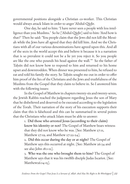governmental positions alongside a Christian co-worker. This Christian would always attack Islam in order to anger ʿAbdul-Qādir.

One day, he said to him: 'I have never seen a people with less intelligence than you Muslims.' So he [ʿAbdul-Qādir] said to him: 'And how is that?' Then he said: 'You people claim that the Jews did not kill the Messiah while the Jews have all agreed that they did kill him. And we the Christians with all of our various denominations have agreed upon this. And all of the sects in the world accept this and believe it because it is a narration that is so prevalent it could not be a lie yet you reject it. So you people are like the one who pounds his head against the wall.'" So the father of Taḥsīn did not know how to respond to him and returned to his home upset and downtrodden. When dinner was presented to him, he refused to eat and told his family the story. So Taḥsīn sought me out in order to offer him proof of the lies of the Christians and the Jews and truthfulness of the Muslims from the Gospel that they claim to believe in. So I answered him with the following issues:

In the Gospel of Matthew in chapters twenty-six and twenty-seven, the Jewish Rabbis reached the judgment regarding Jesus the son of Mary that he disbelieved and deserved to be executed according to the legislation of the Torah. Their narration of the story of his execution supports their claim that this is falsehood and this can be summarised in several points that the Christians who attack Islam must be able to answer:

> 1. Did those who arrested Jesus (according to their claim) know his identity or not? The Gospel of Matthew bears witness that they did not know who he was. [See: Matthew 27:11, Matthew 27:19, and Matthew 27:22-24].

2. Did this occur during the day or at night? The Gospel of Matthew says this occurred at night. [See: Matthew 26:34 and see also John 18:1-12].

3. Who was the one who brought them to him? The Gospel of Matthew says that it was his twelfth disciple Judas Iscariot. [See: Matthew26:14-15].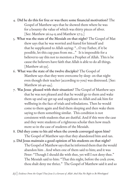- 4. Did he do this for free or was there some financial motivation? The Gospel of Matthew says that he showed them where he was for a bounty the value of which was thirty pieces of silver. [See: Matthew 26:14-15 and Matthew 27:3.]
- 5. What was the state of the Messiah on that night? The Gospel of Mat thew says that he was worried and feared for himself and that he supplicated to Allah saying: "…O my Father, if it be possible, let this cup pass from me..." It is impossible for a believerto say this not to mention a Prophet of Allah. This is be cause the believers have faith that Allah is able to do all things. [Matthew 26:39].
- 6. What was the state of the twelve disciples? The Gospel of Matthew says that they were overcome by sleep on that night even though their teacher (according to you) was distressed. [See: Matthew 26:40-44].
- 7. Was Jesus pleased with their situation? The Gospel of Matthew says that he was not pleased and that he would go to them and wake them up and say get up and supplicate to Allah and ask him for wellbeing in the face of trials and tribulations. Then he would come to them again and find them sleeping and then wake them saying to them something similar. This condition is not consistent with students that are dutiful. And if this were the case and they were students of a righteous scholar then how much more so in the case of students of the Messiah.
- 8. Did they come to his aid when the crowds converged upon him? The Gospel of Matthew says that they abandoned him and ran.
- 9. Did Jesus maintain a good opinion of his students on that night? The Gospel of Matthew says that he informed them that the would abandon him . And when one of them said to him; and it was Peter: "Though I should die with thee, yet will I not deny thee." The Messiah said to him: "That this night, before the cock crow, thou shalt deny me thrice." The Gospel of Matthew said it and so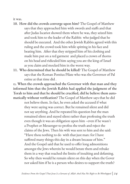it was.

- 10. How did the crowds converge upon him? The Gospel of Matthew says that they approached him with swords and staffs and that after Judas Iscariot showed them where he was, they seized him and took him to the leader of the Rabbis who judged that he should be executed. And the other Jewish Rabbis agreed with this ruling and the crowd took him while spitting in his face and beating him. After that they stripped him of his clothing and made him put on a red garment and placed a crown of thorns on his head and ridiculed him saying you are the king of Israel as you claim and mocked him in the worst way.
- 11. Who determined that he should be killed? The Gospel of Matthew says that the Roman Pontius Pilate who was the Governor of Pal estine at that time did .

12. When the crowds approached the Governor with that man and they informed him that the Jewish Rabbis had applied the judgment of the Torah to him and that he should be crucified, did he believe them automatically without verification? The Gospel of Matthew says that he did

not believe them. In fact, he even asked the accused if what they were saying was correct. But he remained silent and did not say anything. And he repeated his question but the man remained silent and stayed silent rather than professing the truth even though it was an obligation upon him –even if he wasn't a Prophet or Messenger-to profess the truth and reject the claims of the Jews. Then his wife was sent to him and she said: "Have thou nothing to do with that just man: for I have suffered many things this day in a dream because of him." And the Gospel said that he used to offer long admonitions amongst the Jews wherein he would berate them and rebuke them in a way that reached the limits of insulting and defaming. So why then would he remain silent on this day when the Gover nor asked him if he is a person who desires to support the truth?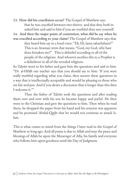13. How did his crucifixion occur? The Gospel of Matthew says that he was crucified between two thieves and that they both in sulted him and said to him if you are truthful then save yourself.

14. And then the major point of contention, what did he say when he was crucified according to your claim? The Gospel of Matthew says that

> they heard him say in a loud voice: "Eli, Eli, lama sabachthani?" This is an Aramaic term that means: "God, my God, why hast thou forsaken me?" This is disbelief according to all of the people of the religions. And whoever ascribes this to a Prophet is a disbeliever in all of the revealed religions.

So Taḥsīn went to his father and gave him the questions and said to him: "Dr. al-Hilālī our teacher says that you should say to him: 'If you were really truthful regarding what you claim, then answer these questions in a way that is intellectually acceptable and would be pleasing to those who are fair and just. And if you desire a discussion that is longer than this then I welcome it."

Then the father of Taḥsīn took the questions and after reading them over and over with his son he became happy and joyful. He then went to the Christian and gave the questions to him. Then when he read them, he dropped the paper from his hand and his remorse was apparent and he promised ʿAbdul-Qādir that he would not continue to attack Islam.

This is what comes to mind from the things I have read in the Gospel of Matthew so long ago. And all praise is due to Allah and may the peace and blessings of Allah be upon the Messenger of Alla, his family and everyone who follows him upon goodness until the Day of Judgment.